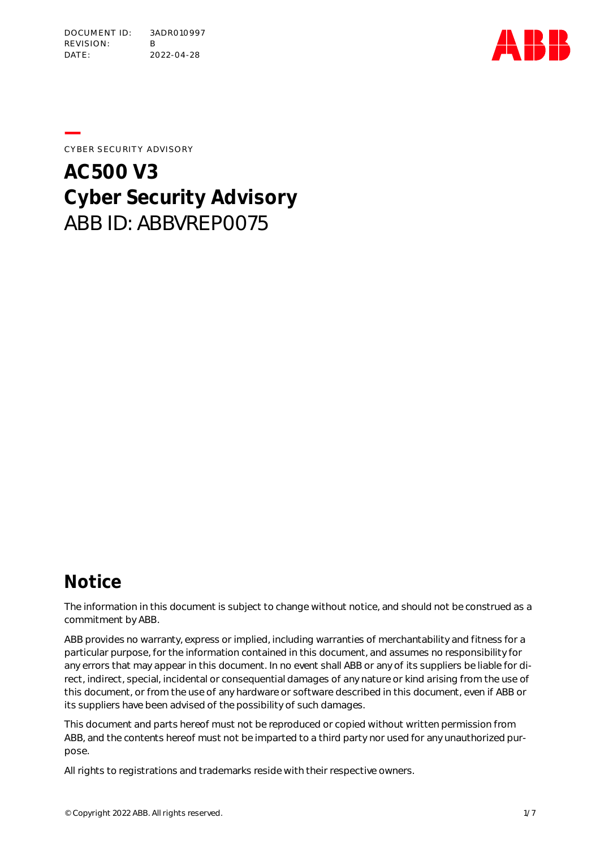

**—**CYBER SECURITY ADVISORY

# **AC500 V3 Cyber Security Advisory** ABB ID: ABBVREP0075

### **Notice**

The information in this document is subject to change without notice, and should not be construed as a commitment by ABB.

ABB provides no warranty, express or implied, including warranties of merchantability and fitness for a particular purpose, for the information contained in this document, and assumes no responsibility for any errors that may appear in this document. In no event shall ABB or any of its suppliers be liable for direct, indirect, special, incidental or consequential damages of any nature or kind arising from the use of this document, or from the use of any hardware or software described in this document, even if ABB or its suppliers have been advised of the possibility of such damages.

This document and parts hereof must not be reproduced or copied without written permission from ABB, and the contents hereof must not be imparted to a third party nor used for any unauthorized purpose.

All rights to registrations and trademarks reside with their respective owners.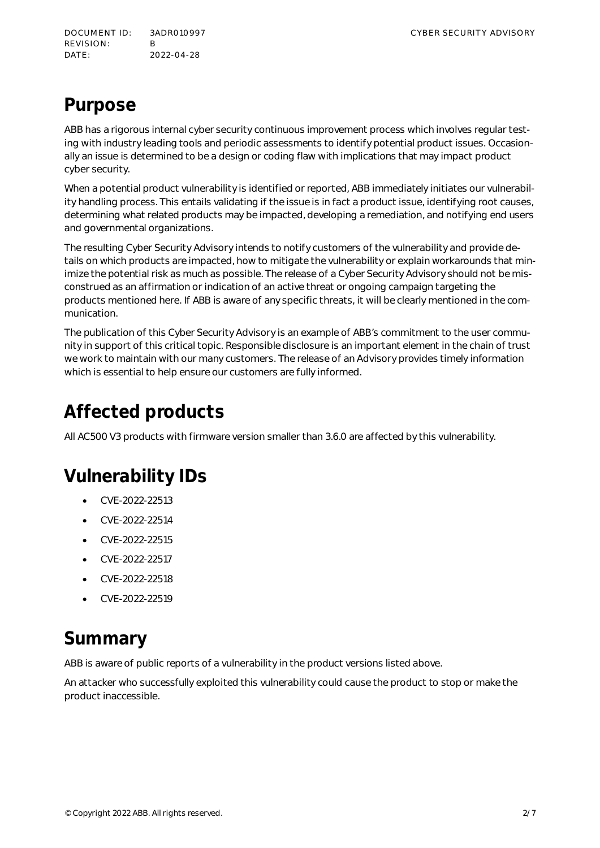DOCUMENT ID: 3ADR010997 CYBER SECURITY ADVISORY REVISION: B DATE: 2022-04-28

### **Purpose**

ABB has a rigorous internal cyber security continuous improvement process which involves regular testing with industry leading tools and periodic assessments to identify potential product issues. Occasionally an issue is determined to be a design or coding flaw with implications that may impact product cyber security.

When a potential product vulnerability is identified or reported, ABB immediately initiates our vulnerability handling process. This entails validating if the issue is in fact a product issue, identifying root causes, determining what related products may be impacted, developing a remediation, and notifying end users and governmental organizations.

The resulting Cyber Security Advisory intends to notify customers of the vulnerability and provide details on which products are impacted, how to mitigate the vulnerability or explain workarounds that minimize the potential risk as much as possible. The release of a Cyber Security Advisory should not be misconstrued as an affirmation or indication of an active threat or ongoing campaign targeting the products mentioned here. If ABB is aware of any specific threats, it will be clearly mentioned in the communication.

The publication of this Cyber Security Advisory is an example of ABB's commitment to the user community in support of this critical topic. Responsible disclosure is an important element in the chain of trust we work to maintain with our many customers. The release of an Advisory provides timely information which is essential to help ensure our customers are fully informed.

# **Affected products**

All AC500 V3 products with firmware version smaller than 3.6.0 are affected by this vulnerability.

# **Vulnerability IDs**

- CVE-2022-22513
- CVE-2022-22514
- CVE-2022-22515
- CVE-2022-22517
- CVE-2022-22518
- CVE-2022-22519

### **Summary**

ABB is aware of public reports of a vulnerability in the product versions listed above.

An attacker who successfully exploited this vulnerability could cause the product to stop or make the product inaccessible.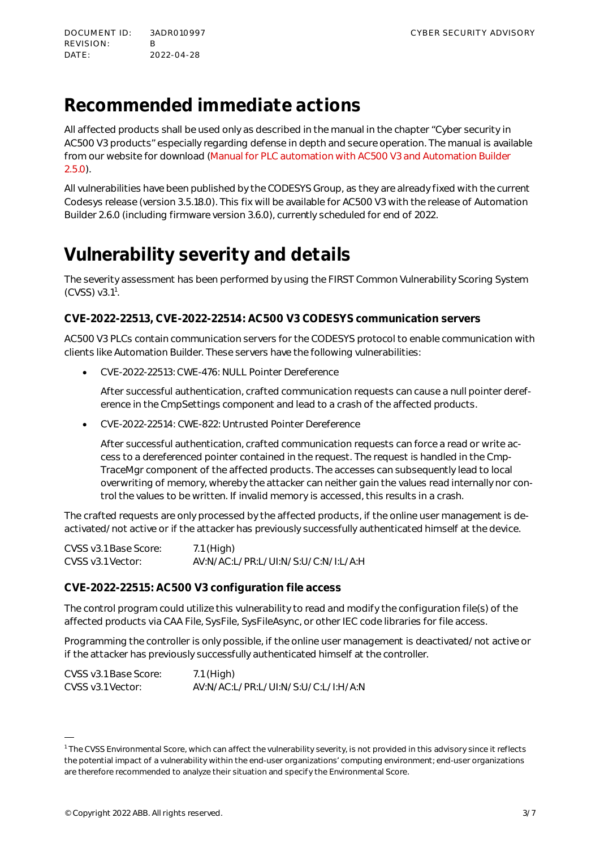# **Recommended immediate actions**

All affected products shall be used only as described in the manual in the chapter "Cyber security in AC500 V3 products" especially regarding defense in depth and secure operation. The manual is available from our website for download [\(Manual for PLC automation with AC500 V3 and Automation Builder](https://search.abb.com/library/Download.aspx?DocumentID=3ADR010583&LanguageCode=en&DocumentPartId=&Action=Launch) [2.5.0\)](https://search.abb.com/library/Download.aspx?DocumentID=3ADR010583&LanguageCode=en&DocumentPartId=&Action=Launch).

All vulnerabilities have been published by the CODESYS Group, as they are already fixed with the current Codesys release (version 3.5.18.0). This fix will be available for AC500 V3 with the release of Automation Builder 2.6.0 (including firmware version 3.6.0), currently scheduled for end of 2022.

# **Vulnerability severity and details**

[Th](https://www.first.org/cvss/calculator/3.1)e severity assessment has been performed by using the FIRST Common Vulnerability Scoring System  $(CVSS)$  v3.[1](#page-2-0)<sup>1</sup>.

### **CVE-2022-22513, CVE-2022-22514: AC500 V3 CODESYS communication servers**

AC500 V3 PLCs contain communication servers for the CODESYS protocol to enable communication with clients like Automation Builder. These servers have the following vulnerabilities:

CVE-2022-22513: CWE-476: NULL Pointer Dereference

After successful authentication, crafted communication requests can cause a null pointer dereference in the CmpSettings component and lead to a crash of the affected products.

CVE-2022-22514: CWE-822: Untrusted Pointer Dereference

After successful authentication, crafted communication requests can force a read or write access to a dereferenced pointer contained in the request. The request is handled in the Cmp-TraceMgr component of the affected products. The accesses can subsequently lead to local overwriting of memory, whereby the attacker can neither gain the values read internally nor control the values to be written. If invalid memory is accessed, this results in a crash.

The crafted requests are only processed by the affected products, if the online user management is deactivated/not active or if the attacker has previously successfully authenticated himself at the device.

| CVSS v3.1 Base Score: | 7.1 (High)                          |
|-----------------------|-------------------------------------|
| CVSS v3.1 Vector:     | AV:N/AC:L/PR:L/UI:N/S:U/C:N/I:L/A:H |

#### **CVE-2022-22515: AC500 V3 configuration file access**

The control program could utilize this vulnerability to read and modify the configuration file(s) of the affected products via CAA File, SysFile, SysFileAsync, or other IEC code libraries for file access.

Programming the controller is only possible, if the online user management is deactivated/not active or if the attacker has previously successfully authenticated himself at the controller.

| CVSS v3.1 Base Score: | 7.1 (High)                          |
|-----------------------|-------------------------------------|
| CVSS v3.1 Vector:     | AV:N/AC:L/PR:L/UI:N/S:U/C:L/I:H/A:N |

<span id="page-2-0"></span> $^{\rm 1}$  The CVSS Environmental Score, which can affect the vulnerability severity, is not provided in this advisory since it reflects the potential impact of a vulnerability within the end-user organizations' computing environment; end-user organizations are therefore recommended to analyze their situation and specify the Environmental Score.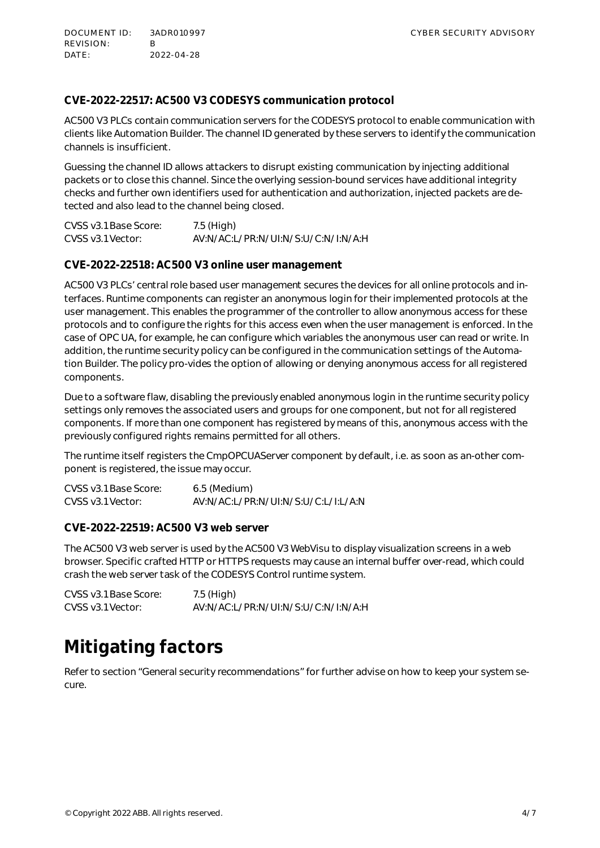DOCUMENT ID: 3ADR010997 CYBER SECURITY ADVISORY REVISION: B DATE: 2022-04-28

#### **CVE-2022-22517: AC500 V3 CODESYS communication protocol**

AC500 V3 PLCs contain communication servers for the CODESYS protocol to enable communication with clients like Automation Builder. The channel ID generated by these servers to identify the communication channels is insufficient.

Guessing the channel ID allows attackers to disrupt existing communication by injecting additional packets or to close this channel. Since the overlying session-bound services have additional integrity checks and further own identifiers used for authentication and authorization, injected packets are detected and also lead to the channel being closed.

| CVSS v3.1 Base Score: | 7.5 (High)                          |
|-----------------------|-------------------------------------|
| CVSS v3.1 Vector:     | AV:N/AC:L/PR:N/UI:N/S:U/C:N/I:N/A:H |

#### **CVE-2022-22518: AC500 V3 online user management**

AC500 V3 PLCs' central role based user management secures the devices for all online protocols and interfaces. Runtime components can register an anonymous login for their implemented protocols at the user management. This enables the programmer of the controller to allow anonymous access for these protocols and to configure the rights for this access even when the user management is enforced. In the case of OPC UA, for example, he can configure which variables the anonymous user can read or write. In addition, the runtime security policy can be configured in the communication settings of the Automation Builder. The policy pro-vides the option of allowing or denying anonymous access for all registered components.

Due to a software flaw, disabling the previously enabled anonymous login in the runtime security policy settings only removes the associated users and groups for one component, but not for all registered components. If more than one component has registered by means of this, anonymous access with the previously configured rights remains permitted for all others.

The runtime itself registers the CmpOPCUAServer component by default, i.e. as soon as an-other component is registered, the issue may occur.

CVSS v3.1 Base Score: 6.5 (Medium) CVSS v3.1 Vector: AV:N/AC:L/PR:N/UI:N/S:U/C:L/I:L/A:N

**CVE-2022-22519: AC500 V3 web server**

The AC500 V3 web server is used by the AC500 V3 WebVisu to display visualization screens in a web browser. Specific crafted HTTP or HTTPS requests may cause an internal buffer over-read, which could crash the web server task of the CODESYS Control runtime system.

| CVSS v3.1 Base Score: | 7.5 (High)                          |
|-----------------------|-------------------------------------|
| CVSS v3.1 Vector:     | AV:N/AC:L/PR:N/UI:N/S:U/C:N/I:N/A:H |

### **Mitigating factors**

Refer to section ["General security recommendations](#page-5-0)" for further advise on how to keep your system secure.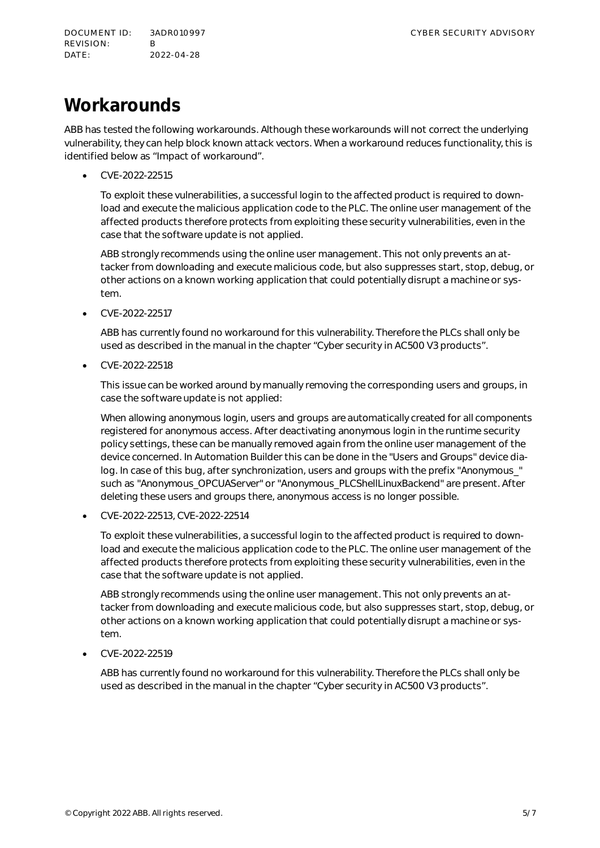# **Workarounds**

ABB has tested the following workarounds. Although these workarounds will not correct the underlying vulnerability, they can help block known attack vectors. When a workaround reduces functionality, this is identified below as "Impact of workaround".

CVE-2022-22515

To exploit these vulnerabilities, a successful login to the affected product is required to download and execute the malicious application code to the PLC. The online user management of the affected products therefore protects from exploiting these security vulnerabilities, even in the case that the software update is not applied.

ABB strongly recommends using the online user management. This not only prevents an attacker from downloading and execute malicious code, but also suppresses start, stop, debug, or other actions on a known working application that could potentially disrupt a machine or system.

CVE-2022-22517

ABB has currently found no workaround for this vulnerability. Therefore the PLCs shall only be used as described in the manual in the chapter "Cyber security in AC500 V3 products".

CVE-2022-22518

This issue can be worked around by manually removing the corresponding users and groups, in case the software update is not applied:

When allowing anonymous login, users and groups are automatically created for all components registered for anonymous access. After deactivating anonymous login in the runtime security policy settings, these can be manually removed again from the online user management of the device concerned. In Automation Builder this can be done in the "Users and Groups" device dialog. In case of this bug, after synchronization, users and groups with the prefix "Anonymous " such as "Anonymous\_OPCUAServer" or "Anonymous\_PLCShellLinuxBackend" are present. After deleting these users and groups there, anonymous access is no longer possible.

CVE-2022-22513, CVE-2022-22514

To exploit these vulnerabilities, a successful login to the affected product is required to download and execute the malicious application code to the PLC. The online user management of the affected products therefore protects from exploiting these security vulnerabilities, even in the case that the software update is not applied.

ABB strongly recommends using the online user management. This not only prevents an attacker from downloading and execute malicious code, but also suppresses start, stop, debug, or other actions on a known working application that could potentially disrupt a machine or system.

CVE-2022-22519

ABB has currently found no workaround for this vulnerability. Therefore the PLCs shall only be used as described in the manual in the chapter "Cyber security in AC500 V3 products".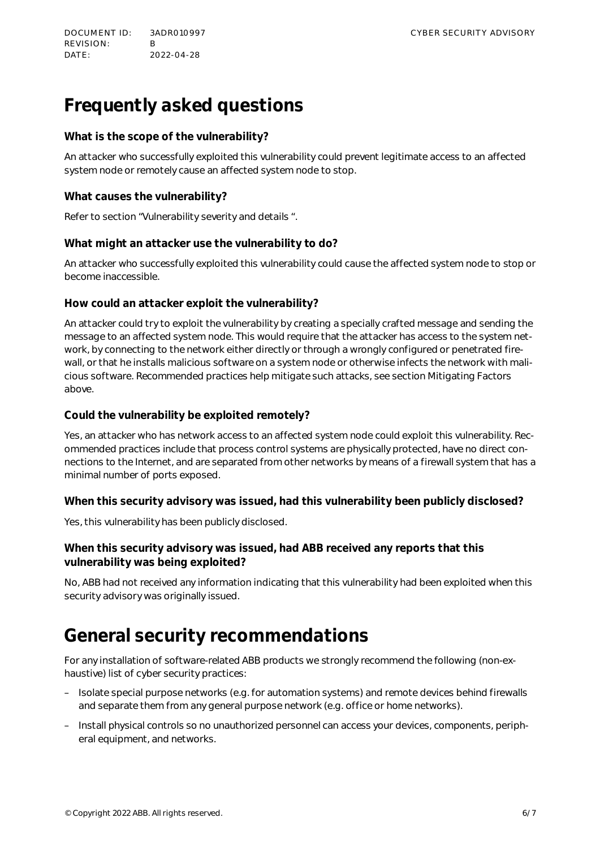DOCUMENT ID: 3ADR010997 CYBER SECURITY ADVISORY REVISION: B DATE: 2022-04-28

# **Frequently asked questions**

#### **What is the scope of the vulnerability?**

An attacker who successfully exploited this vulnerability could prevent legitimate access to an affected system node or remotely cause an affected system node to stop.

#### **What causes the vulnerability?**

Refer to section "Vulnerability severity and details ".

#### **What might an attacker use the vulnerability to do?**

An attacker who successfully exploited this vulnerability could cause the affected system node to stop or become inaccessible.

#### **How could an attacker exploit the vulnerability?**

An attacker could try to exploit the vulnerability by creating a specially crafted message and sending the message to an affected system node. This would require that the attacker has access to the system network, by connecting to the network either directly or through a wrongly configured or penetrated firewall, or that he installs malicious software on a system node or otherwise infects the network with malicious software. Recommended practices help mitigate such attacks, see section Mitigating Factors above.

#### **Could the vulnerability be exploited remotely?**

Yes, an attacker who has network access to an affected system node could exploit this vulnerability. Recommended practices include that process control systems are physically protected, have no direct connections to the Internet, and are separated from other networks by means of a firewall system that has a minimal number of ports exposed.

**When this security advisory was issued, had this vulnerability been publicly disclosed?**

Yes, this vulnerability has been publicly disclosed.

### **When this security advisory was issued, had ABB received any reports that this vulnerability was being exploited?**

No, ABB had not received any information indicating that this vulnerability had been exploited when this security advisory was originally issued.

### <span id="page-5-0"></span>**General security recommendations**

For any installation of software-related ABB products we strongly recommend the following (non-exhaustive) list of cyber security practices:

- Isolate special purpose networks (e.g. for automation systems) and remote devices behind firewalls and separate them from any general purpose network (e.g. office or home networks).
- Install physical controls so no unauthorized personnel can access your devices, components, peripheral equipment, and networks.